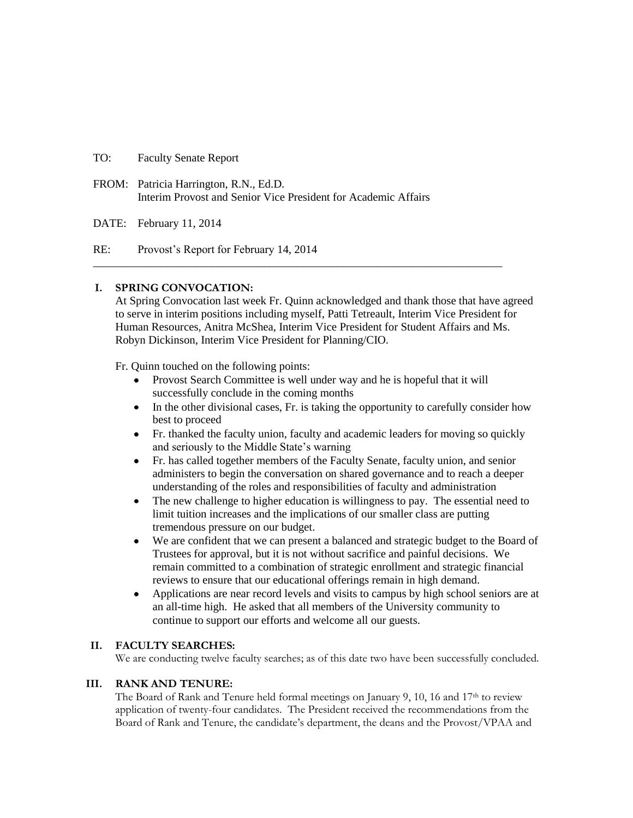### TO: Faculty Senate Report

FROM: Patricia Harrington, R.N., Ed.D. Interim Provost and Senior Vice President for Academic Affairs

DATE: February 11, 2014

RE: Provost's Report for February 14, 2014

# **I. SPRING CONVOCATION:**

At Spring Convocation last week Fr. Quinn acknowledged and thank those that have agreed to serve in interim positions including myself, Patti Tetreault, Interim Vice President for Human Resources, Anitra McShea, Interim Vice President for Student Affairs and Ms. Robyn Dickinson, Interim Vice President for Planning/CIO.

**\_\_\_\_\_\_\_\_\_\_\_\_\_\_\_\_\_\_\_\_\_\_\_\_\_\_\_\_\_\_\_\_\_\_\_\_\_\_\_\_\_\_\_\_\_\_\_\_\_\_\_\_\_\_\_\_\_\_\_\_\_\_\_\_\_\_\_\_\_\_\_\_**

Fr. Quinn touched on the following points:

- Provost Search Committee is well under way and he is hopeful that it will successfully conclude in the coming months
- In the other divisional cases, Fr. is taking the opportunity to carefully consider how  $\bullet$ best to proceed
- Fr. thanked the faculty union, faculty and academic leaders for moving so quickly  $\bullet$ and seriously to the Middle State's warning
- Fr. has called together members of the Faculty Senate, faculty union, and senior administers to begin the conversation on shared governance and to reach a deeper understanding of the roles and responsibilities of faculty and administration
- The new challenge to higher education is willingness to pay. The essential need to  $\bullet$ limit tuition increases and the implications of our smaller class are putting tremendous pressure on our budget.
- We are confident that we can present a balanced and strategic budget to the Board of  $\bullet$ Trustees for approval, but it is not without sacrifice and painful decisions. We remain committed to a combination of strategic enrollment and strategic financial reviews to ensure that our educational offerings remain in high demand.
- Applications are near record levels and visits to campus by high school seniors are at an all-time high. He asked that all members of the University community to continue to support our efforts and welcome all our guests.

## **II. FACULTY SEARCHES:**

We are conducting twelve faculty searches; as of this date two have been successfully concluded.

# **III. RANK AND TENURE:**

The Board of Rank and Tenure held formal meetings on January 9, 10, 16 and  $17<sup>th</sup>$  to review application of twenty-four candidates. The President received the recommendations from the Board of Rank and Tenure, the candidate's department, the deans and the Provost/VPAA and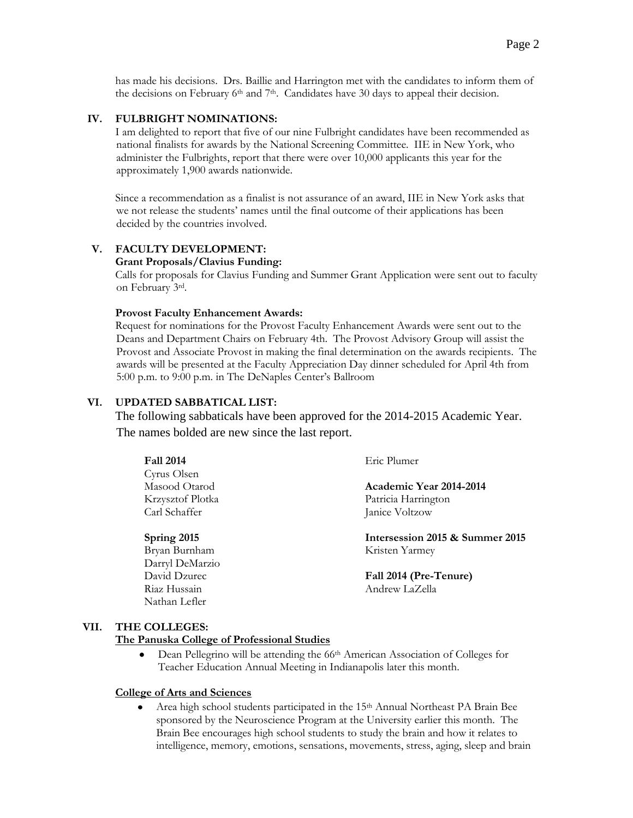has made his decisions. Drs. Baillie and Harrington met with the candidates to inform them of the decisions on February 6<sup>th</sup> and  $7<sup>th</sup>$ . Candidates have 30 days to appeal their decision.

## **IV. FULBRIGHT NOMINATIONS:**

I am delighted to report that five of our nine Fulbright candidates have been recommended as national finalists for awards by the National Screening Committee. IIE in New York, who administer the Fulbrights, report that there were over 10,000 applicants this year for the approximately 1,900 awards nationwide.

Since a recommendation as a finalist is not assurance of an award, IIE in New York asks that we not release the students' names until the final outcome of their applications has been decided by the countries involved.

### **V. FACULTY DEVELOPMENT:**

### **Grant Proposals/Clavius Funding:**

Calls for proposals for Clavius Funding and Summer Grant Application were sent out to faculty on February 3rd.

#### **Provost Faculty Enhancement Awards:**

Request for nominations for the Provost Faculty Enhancement Awards were sent out to the Deans and Department Chairs on February 4th. The Provost Advisory Group will assist the Provost and Associate Provost in making the final determination on the awards recipients. The awards will be presented at the Faculty Appreciation Day dinner scheduled for April 4th from 5:00 p.m. to 9:00 p.m. in The DeNaples Center's Ballroom

#### **VI. UPDATED SABBATICAL LIST:**

Bryan Burnham Darryl DeMarzio David Dzurec Riaz Hussain Nathan Lefler

The following sabbaticals have been approved for the 2014-2015 Academic Year. The names bolded are new since the last report.

| <b>Fall 2014</b> | Eric Plumer                     |
|------------------|---------------------------------|
| Cyrus Olsen      |                                 |
| Masood Otarod    | Academic Year 2014-2014         |
| Krzysztof Plotka | Patricia Harrington             |
| Carl Schaffer    | Janice Voltzow                  |
| Spring 2015      | Intersession 2015 & Summer 2015 |

Kristen Yarmey

**Fall 2014 (Pre-Tenure)** Andrew LaZella

### **VII. THE COLLEGES:**

#### **The Panuska College of Professional Studies**

Dean Pellegrino will be attending the 66th American Association of Colleges for Teacher Education Annual Meeting in Indianapolis later this month.

#### **College of Arts and Sciences**

Area high school students participated in the 15<sup>th</sup> Annual Northeast PA Brain Bee sponsored by the Neuroscience Program at the University earlier this month. The Brain Bee encourages high school students to study the brain and how it relates to intelligence, memory, emotions, sensations, movements, stress, aging, sleep and brain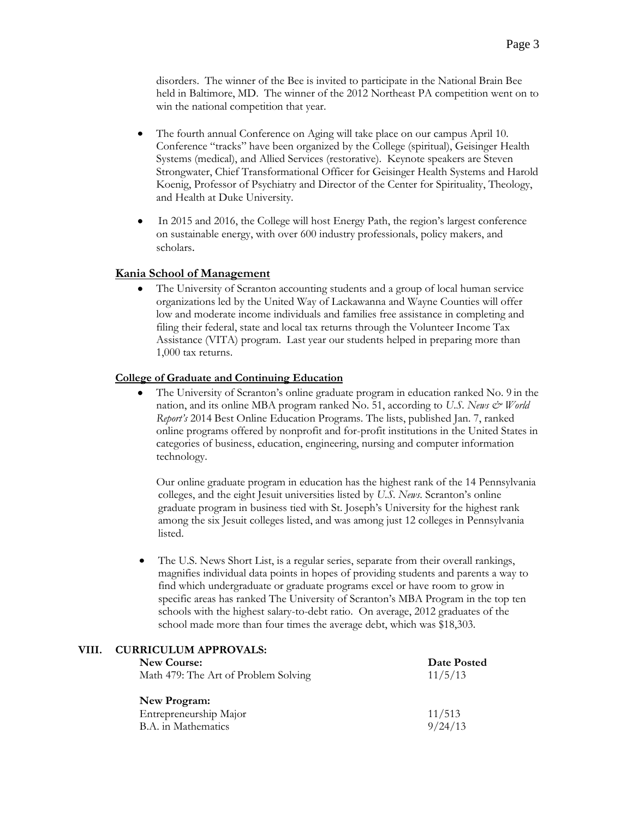- The fourth annual Conference on Aging will take place on our campus April 10. Conference "tracks" have been organized by the College (spiritual), Geisinger Health Systems (medical), and Allied Services (restorative). Keynote speakers are Steven Strongwater, Chief Transformational Officer for Geisinger Health Systems and Harold Koenig, Professor of Psychiatry and Director of the Center for Spirituality, Theology, and Health at Duke University.
- In 2015 and 2016, the College will host Energy Path, the region's largest conference on sustainable energy, with over 600 industry professionals, policy makers, and scholars.

## **Kania School of Management**

The University of Scranton accounting students and a group of local human service organizations led by the United Way of Lackawanna and Wayne Counties will offer low and moderate income individuals and families free assistance in completing and filing their federal, state and local tax returns through the Volunteer Income Tax Assistance (VITA) program. Last year our students helped in preparing more than 1,000 tax returns.

### **College of Graduate and Continuing Education**

The University of Scranton's online graduate program in education ranked No. 9 in the nation, and its online MBA program ranked No. 51, according to *U.S. News*  $\breve{c}$  *World Report's* 2014 Best Online Education Programs. The lists, published Jan. 7, ranked online programs offered by nonprofit and for-profit institutions in the United States in categories of business, education, engineering, nursing and computer information technology.

Our online graduate program in education has the highest rank of the 14 Pennsylvania colleges, and the eight Jesuit universities listed by *U.S. News*. Scranton's online graduate program in business tied with St. Joseph's University for the highest rank among the six Jesuit colleges listed, and was among just 12 colleges in Pennsylvania listed.

The U.S. News Short List, is a regular series, separate from their overall rankings, magnifies individual data points in hopes of providing students and parents a way to find which undergraduate or graduate programs excel or have room to grow in specific areas has ranked The University of Scranton's MBA Program in the top ten schools with the highest salary-to-debt ratio. On average, 2012 graduates of the school made more than four times the average debt, which was \$18,303.

| <b>New Course:</b><br>Math 479: The Art of Problem Solving | Date Posted<br>11/5/13 |
|------------------------------------------------------------|------------------------|
| New Program:                                               |                        |
| Entrepreneurship Major                                     | 11/513                 |
| B.A. in Mathematics                                        | 9/24/13                |

## **VIII. CURRICULUM APPROVALS:**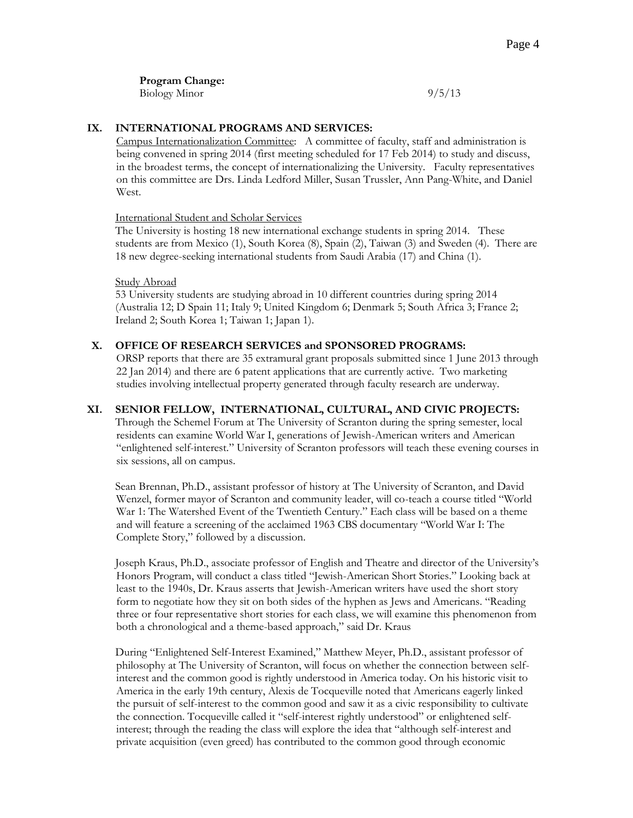**Program Change:**

Biology Minor 9/5/13

## **IX. INTERNATIONAL PROGRAMS AND SERVICES:**

Campus Internationalization Committee: A committee of faculty, staff and administration is being convened in spring 2014 (first meeting scheduled for 17 Feb 2014) to study and discuss, in the broadest terms, the concept of internationalizing the University. Faculty representatives on this committee are Drs. Linda Ledford Miller, Susan Trussler, Ann Pang-White, and Daniel West.

## International Student and Scholar Services

The University is hosting 18 new international exchange students in spring 2014. These students are from Mexico (1), South Korea (8), Spain (2), Taiwan (3) and Sweden (4). There are 18 new degree-seeking international students from Saudi Arabia (17) and China (1).

### **Study Abroad**

53 University students are studying abroad in 10 different countries during spring 2014 (Australia 12; D Spain 11; Italy 9; United Kingdom 6; Denmark 5; South Africa 3; France 2; Ireland 2; South Korea 1; Taiwan 1; Japan 1).

## **X. OFFICE OF RESEARCH SERVICES and SPONSORED PROGRAMS:**

ORSP reports that there are 35 extramural grant proposals submitted since 1 June 2013 through 22 Jan 2014) and there are 6 patent applications that are currently active. Two marketing studies involving intellectual property generated through faculty research are underway.

## **XI. SENIOR FELLOW, INTERNATIONAL, CULTURAL, AND CIVIC PROJECTS:**

Through the Schemel Forum at The University of Scranton during the spring semester, local residents can examine World War I, generations of Jewish-American writers and American "enlightened self-interest." University of Scranton professors will teach these evening courses in six sessions, all on campus.

Sean Brennan, Ph.D., assistant professor of history at The University of Scranton, and David Wenzel, former mayor of Scranton and community leader, will co-teach a course titled "World War 1: The Watershed Event of the Twentieth Century." Each class will be based on a theme and will feature a screening of the acclaimed 1963 CBS documentary "World War I: The Complete Story," followed by a discussion.

Joseph Kraus, Ph.D., associate professor of English and Theatre and director of the University's Honors Program, will conduct a class titled "Jewish-American Short Stories." Looking back at least to the 1940s, Dr. Kraus asserts that Jewish-American writers have used the short story form to negotiate how they sit on both sides of the hyphen as Jews and Americans. "Reading three or four representative short stories for each class, we will examine this phenomenon from both a chronological and a theme-based approach," said Dr. Kraus

During "Enlightened Self-Interest Examined," Matthew Meyer, Ph.D., assistant professor of philosophy at The University of Scranton, will focus on whether the connection between selfinterest and the common good is rightly understood in America today. On his historic visit to America in the early 19th century, Alexis de Tocqueville noted that Americans eagerly linked the pursuit of self-interest to the common good and saw it as a civic responsibility to cultivate the connection. Tocqueville called it "self-interest rightly understood" or enlightened selfinterest; through the reading the class will explore the idea that "although self-interest and private acquisition (even greed) has contributed to the common good through economic